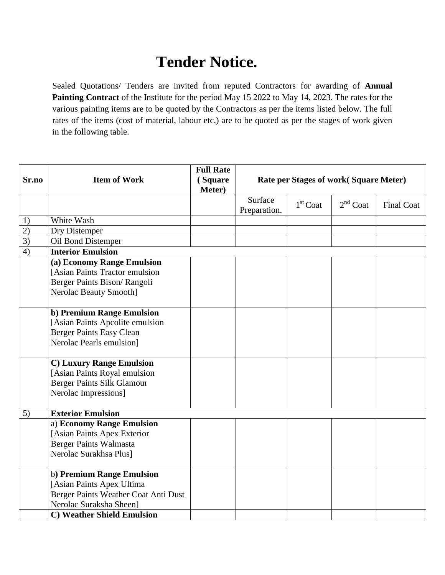## **Tender Notice.**

Sealed Quotations/ Tenders are invited from reputed Contractors for awarding of **Annual Painting Contract** of the Institute for the period May 15 2022 to May 14, 2023. The rates for the various painting items are to be quoted by the Contractors as per the items listed below. The full rates of the items (cost of material, labour etc.) are to be quoted as per the stages of work given in the following table.

| Sr.no          | <b>Item of Work</b>                                                                                                                                            | <b>Full Rate</b><br>(Square<br>Meter) | <b>Rate per Stages of work(Square Meter)</b> |            |            |                   |  |
|----------------|----------------------------------------------------------------------------------------------------------------------------------------------------------------|---------------------------------------|----------------------------------------------|------------|------------|-------------------|--|
|                |                                                                                                                                                                |                                       | Surface<br>Preparation.                      | $1st$ Coat | $2nd$ Coat | <b>Final Coat</b> |  |
| 1)             | White Wash                                                                                                                                                     |                                       |                                              |            |            |                   |  |
| (2)            | Dry Distemper                                                                                                                                                  |                                       |                                              |            |            |                   |  |
| 3)             | Oil Bond Distemper                                                                                                                                             |                                       |                                              |            |            |                   |  |
| $\overline{4}$ | <b>Interior Emulsion</b>                                                                                                                                       |                                       |                                              |            |            |                   |  |
|                | (a) Economy Range Emulsion<br>[Asian Paints Tractor emulsion<br>Berger Paints Bison/Rangoli<br><b>Nerolac Beauty Smooth]</b>                                   |                                       |                                              |            |            |                   |  |
|                | b) Premium Range Emulsion<br>[Asian Paints Apcolite emulsion<br><b>Berger Paints Easy Clean</b><br>Nerolac Pearls emulsion]                                    |                                       |                                              |            |            |                   |  |
|                | <b>C) Luxury Range Emulsion</b><br>[Asian Paints Royal emulsion<br><b>Berger Paints Silk Glamour</b><br>Nerolac Impressions]                                   |                                       |                                              |            |            |                   |  |
| 5)             | <b>Exterior Emulsion</b>                                                                                                                                       |                                       |                                              |            |            |                   |  |
|                | a) Economy Range Emulsion<br>[Asian Paints Apex Exterior<br><b>Berger Paints Walmasta</b><br>Nerolac Surakhsa Plus]                                            |                                       |                                              |            |            |                   |  |
|                | b) Premium Range Emulsion<br>[Asian Paints Apex Ultima<br>Berger Paints Weather Coat Anti Dust<br>Nerolac Suraksha Sheen]<br><b>C) Weather Shield Emulsion</b> |                                       |                                              |            |            |                   |  |